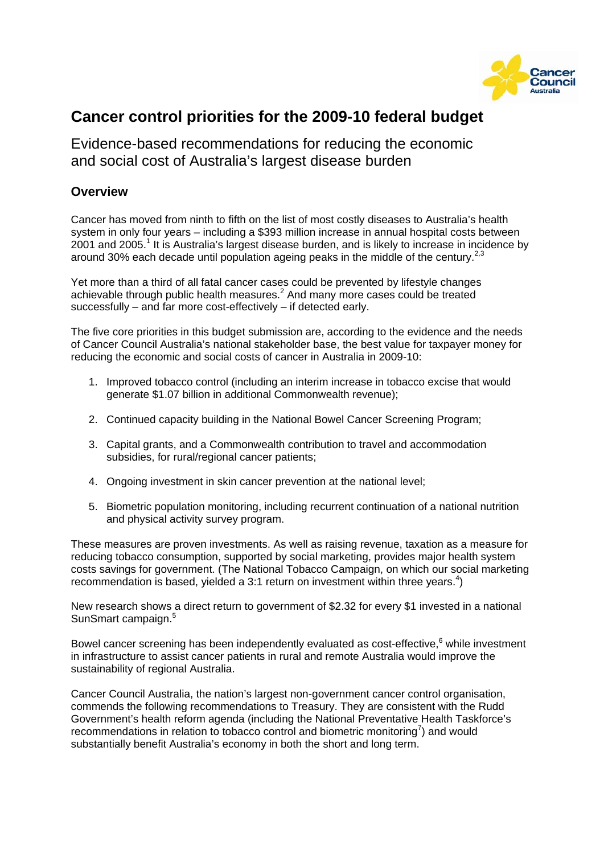

# **Cancer control priorities for the 2009-10 federal budget**

Evidence-based recommendations for reducing the economic and social cost of Australia's largest disease burden

## **Overview**

Cancer has moved from ninth to fifth on the list of most costly diseases to Australia's health system in only four years – including a \$393 million increase in annual hospital costs between 2001 and 2005.<sup>1</sup> It is Australia's largest disease burden, and is likely to increase in incidence by around 30% each decade until population ageing peaks in the middle of the century.<sup>2,3</sup>

Yet more than a third of all fatal cancer cases could be prevented by lifestyle changes achievable through public health measures. $^2$  And many more cases could be treated successfully – and far more cost-effectively – if detected early.

The five core priorities in this budget submission are, according to the evidence and the needs of Cancer Council Australia's national stakeholder base, the best value for taxpayer money for reducing the economic and social costs of cancer in Australia in 2009-10:

- 1. Improved tobacco control (including an interim increase in tobacco excise that would generate \$1.07 billion in additional Commonwealth revenue);
- 2. Continued capacity building in the National Bowel Cancer Screening Program;
- 3. Capital grants, and a Commonwealth contribution to travel and accommodation subsidies, for rural/regional cancer patients;
- 4. Ongoing investment in skin cancer prevention at the national level;
- 5. Biometric population monitoring, including recurrent continuation of a national nutrition and physical activity survey program.

These measures are proven investments. As well as raising revenue, taxation as a measure for reducing tobacco consumption, supported by social marketing, provides major health system costs savings for government. (The National Tobacco Campaign, on which our social marketing recommendation is based, yielded a 3:1 return on investment within three years.<sup>4</sup>)

New research shows a direct return to government of \$2.32 for every \$1 invested in a national SunSmart campaign.<sup>5</sup>

Bowel cancer screening has been independently evaluated as cost-effective, $6$  while investment in infrastructure to assist cancer patients in rural and remote Australia would improve the sustainability of regional Australia.

Cancer Council Australia, the nation's largest non-government cancer control organisation, commends the following recommendations to Treasury. They are consistent with the Rudd Government's health reform agenda (including the National Preventative Health Taskforce's recommendations in relation to tobacco control and biometric monitoring<sup>7</sup>) and would substantially benefit Australia's economy in both the short and long term.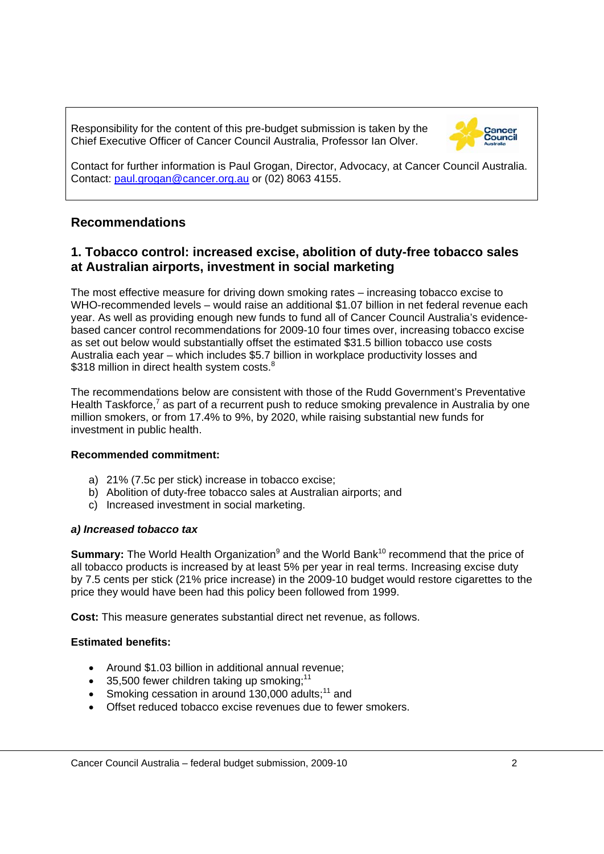Responsibility for the content of this pre-budget submission is taken by the Chief Executive Officer of Cancer Council Australia, Professor Ian Olver.



Contact for further information is Paul Grogan, Director, Advocacy, at Cancer Council Australia. Contact: paul.grogan@cancer.org.au or (02) 8063 4155.

# **Recommendations**

# **1. Tobacco control: increased excise, abolition of duty-free tobacco sales at Australian airports, investment in social marketing**

The most effective measure for driving down smoking rates – increasing tobacco excise to WHO-recommended levels – would raise an additional \$1.07 billion in net federal revenue each year. As well as providing enough new funds to fund all of Cancer Council Australia's evidencebased cancer control recommendations for 2009-10 four times over, increasing tobacco excise as set out below would substantially offset the estimated \$31.5 billion tobacco use costs Australia each year – which includes \$5.7 billion in workplace productivity losses and \$318 million in direct health system costs.<sup>8</sup>

The recommendations below are consistent with those of the Rudd Government's Preventative Health Taskforce,<sup>7</sup> as part of a recurrent push to reduce smoking prevalence in Australia by one million smokers, or from 17.4% to 9%, by 2020, while raising substantial new funds for investment in public health.

### **Recommended commitment:**

- a) 21% (7.5c per stick) increase in tobacco excise;
- b) Abolition of duty-free tobacco sales at Australian airports; and
- c) Increased investment in social marketing.

#### *a) Increased tobacco tax*

**Summary:** The World Health Organization<sup>9</sup> and the World Bank<sup>10</sup> recommend that the price of all tobacco products is increased by at least 5% per year in real terms. Increasing excise duty by 7.5 cents per stick (21% price increase) in the 2009-10 budget would restore cigarettes to the price they would have been had this policy been followed from 1999.

**Cost:** This measure generates substantial direct net revenue, as follows.

### **Estimated benefits:**

- Around \$1.03 billion in additional annual revenue;
- 35,500 fewer children taking up smoking;<sup>11</sup>
- Smoking cessation in around 130,000 adults; $11$  and
- Offset reduced tobacco excise revenues due to fewer smokers.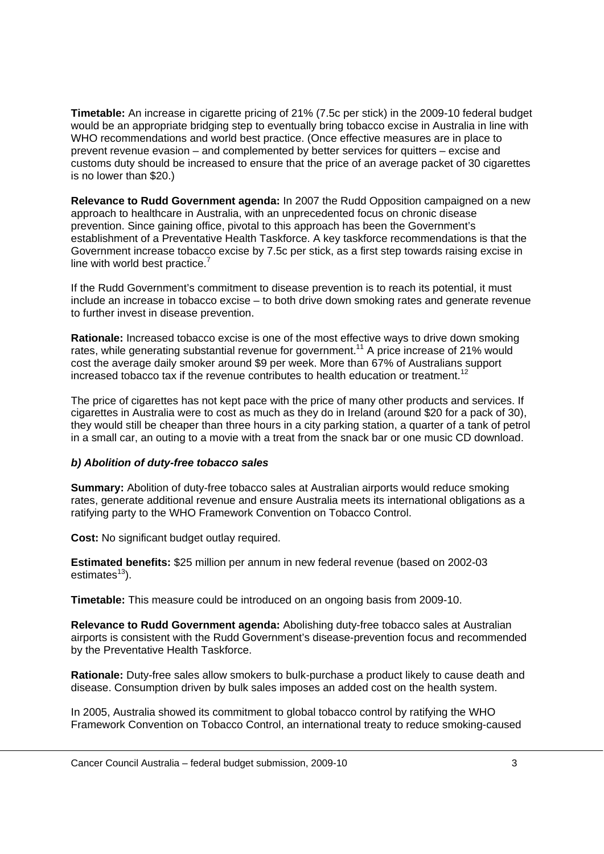**Timetable:** An increase in cigarette pricing of 21% (7.5c per stick) in the 2009-10 federal budget would be an appropriate bridging step to eventually bring tobacco excise in Australia in line with WHO recommendations and world best practice. (Once effective measures are in place to prevent revenue evasion – and complemented by better services for quitters – excise and customs duty should be increased to ensure that the price of an average packet of 30 cigarettes is no lower than \$20.)

**Relevance to Rudd Government agenda:** In 2007 the Rudd Opposition campaigned on a new approach to healthcare in Australia, with an unprecedented focus on chronic disease prevention. Since gaining office, pivotal to this approach has been the Government's establishment of a Preventative Health Taskforce. A key taskforce recommendations is that the Government increase tobacco excise by 7.5c per stick, as a first step towards raising excise in line with world best practice.<sup>7</sup>

If the Rudd Government's commitment to disease prevention is to reach its potential, it must include an increase in tobacco excise – to both drive down smoking rates and generate revenue to further invest in disease prevention.

**Rationale:** Increased tobacco excise is one of the most effective ways to drive down smoking rates, while generating substantial revenue for government.<sup>11</sup> A price increase of 21% would cost the average daily smoker around \$9 per week. More than 67% of Australians support increased tobacco tax if the revenue contributes to health education or treatment.<sup>12</sup>

The price of cigarettes has not kept pace with the price of many other products and services. If cigarettes in Australia were to cost as much as they do in Ireland (around \$20 for a pack of 30), they would still be cheaper than three hours in a city parking station, a quarter of a tank of petrol in a small car, an outing to a movie with a treat from the snack bar or one music CD download.

### *b) Abolition of duty-free tobacco sales*

**Summary:** Abolition of duty-free tobacco sales at Australian airports would reduce smoking rates, generate additional revenue and ensure Australia meets its international obligations as a ratifying party to the WHO Framework Convention on Tobacco Control.

**Cost:** No significant budget outlay required.

**Estimated benefits:** \$25 million per annum in new federal revenue (based on 2002-03 estimates $13$ ).

**Timetable:** This measure could be introduced on an ongoing basis from 2009-10.

**Relevance to Rudd Government agenda:** Abolishing duty-free tobacco sales at Australian airports is consistent with the Rudd Government's disease-prevention focus and recommended by the Preventative Health Taskforce.

**Rationale:** Duty-free sales allow smokers to bulk-purchase a product likely to cause death and disease. Consumption driven by bulk sales imposes an added cost on the health system.

In 2005, Australia showed its commitment to global tobacco control by ratifying the WHO Framework Convention on Tobacco Control, an international treaty to reduce smoking-caused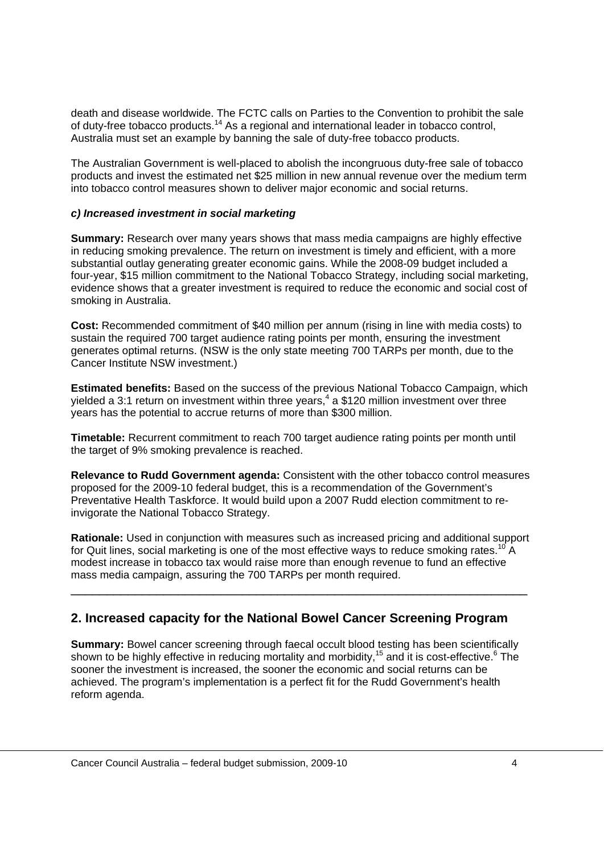death and disease worldwide. The FCTC calls on Parties to the Convention to prohibit the sale of duty-free tobacco products.14 As a regional and international leader in tobacco control, Australia must set an example by banning the sale of duty-free tobacco products.

The Australian Government is well-placed to abolish the incongruous duty-free sale of tobacco products and invest the estimated net \$25 million in new annual revenue over the medium term into tobacco control measures shown to deliver major economic and social returns.

#### *c) Increased investment in social marketing*

**Summary:** Research over many years shows that mass media campaigns are highly effective in reducing smoking prevalence. The return on investment is timely and efficient, with a more substantial outlay generating greater economic gains. While the 2008-09 budget included a four-year, \$15 million commitment to the National Tobacco Strategy, including social marketing, evidence shows that a greater investment is required to reduce the economic and social cost of smoking in Australia.

**Cost:** Recommended commitment of \$40 million per annum (rising in line with media costs) to sustain the required 700 target audience rating points per month, ensuring the investment generates optimal returns. (NSW is the only state meeting 700 TARPs per month, due to the Cancer Institute NSW investment.)

**Estimated benefits:** Based on the success of the previous National Tobacco Campaign, which yielded a 3:1 return on investment within three years,<sup>4</sup> a \$120 million investment over three years has the potential to accrue returns of more than \$300 million.

**Timetable:** Recurrent commitment to reach 700 target audience rating points per month until the target of 9% smoking prevalence is reached.

**Relevance to Rudd Government agenda:** Consistent with the other tobacco control measures proposed for the 2009-10 federal budget, this is a recommendation of the Government's Preventative Health Taskforce. It would build upon a 2007 Rudd election commitment to reinvigorate the National Tobacco Strategy.

**Rationale:** Used in conjunction with measures such as increased pricing and additional support for Quit lines, social marketing is one of the most effective ways to reduce smoking rates.<sup>10</sup> A modest increase in tobacco tax would raise more than enough revenue to fund an effective mass media campaign, assuring the 700 TARPs per month required.

\_\_\_\_\_\_\_\_\_\_\_\_\_\_\_\_\_\_\_\_\_\_\_\_\_\_\_\_\_\_\_\_\_\_\_\_\_\_\_\_\_\_\_\_\_\_\_\_\_\_\_\_\_\_\_\_\_\_\_\_\_\_\_\_

# **2. Increased capacity for the National Bowel Cancer Screening Program**

**Summary:** Bowel cancer screening through faecal occult blood testing has been scientifically shown to be highly effective in reducing mortality and morbidity,<sup>15</sup> and it is cost-effective.<sup>6</sup> The sooner the investment is increased, the sooner the economic and social returns can be achieved. The program's implementation is a perfect fit for the Rudd Government's health reform agenda.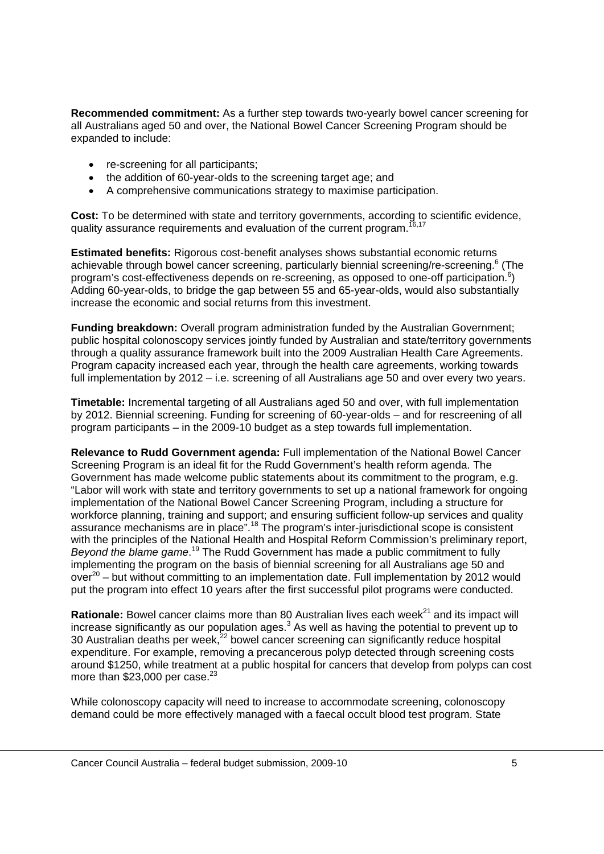**Recommended commitment:** As a further step towards two-yearly bowel cancer screening for all Australians aged 50 and over, the National Bowel Cancer Screening Program should be expanded to include:

- re-screening for all participants;
- the addition of 60-year-olds to the screening target age; and
- A comprehensive communications strategy to maximise participation.

**Cost:** To be determined with state and territory governments, according to scientific evidence, quality assurance requirements and evaluation of the current program.<sup>16,17</sup>

**Estimated benefits:** Rigorous cost-benefit analyses shows substantial economic returns achievable through bowel cancer screening, particularly biennial screening/re-screening.<sup>6</sup> (The program's cost-effectiveness depends on re-screening, as opposed to one-off participation.<sup>6</sup>) Adding 60-year-olds, to bridge the gap between 55 and 65-year-olds, would also substantially increase the economic and social returns from this investment.

**Funding breakdown:** Overall program administration funded by the Australian Government; public hospital colonoscopy services jointly funded by Australian and state/territory governments through a quality assurance framework built into the 2009 Australian Health Care Agreements. Program capacity increased each year, through the health care agreements, working towards full implementation by 2012 – i.e. screening of all Australians age 50 and over every two years.

**Timetable:** Incremental targeting of all Australians aged 50 and over, with full implementation by 2012. Biennial screening. Funding for screening of 60-year-olds – and for rescreening of all program participants – in the 2009-10 budget as a step towards full implementation.

**Relevance to Rudd Government agenda:** Full implementation of the National Bowel Cancer Screening Program is an ideal fit for the Rudd Government's health reform agenda. The Government has made welcome public statements about its commitment to the program, e.g. "Labor will work with state and territory governments to set up a national framework for ongoing implementation of the National Bowel Cancer Screening Program, including a structure for workforce planning, training and support; and ensuring sufficient follow-up services and quality assurance mechanisms are in place".18 The program's inter-jurisdictional scope is consistent with the principles of the National Health and Hospital Reform Commission's preliminary report, Beyond the blame game.<sup>19</sup> The Rudd Government has made a public commitment to fully implementing the program on the basis of biennial screening for all Australians age 50 and  $over<sup>20</sup>$  – but without committing to an implementation date. Full implementation by 2012 would put the program into effect 10 years after the first successful pilot programs were conducted.

**Rationale:** Bowel cancer claims more than 80 Australian lives each week<sup>21</sup> and its impact will increase significantly as our population ages.<sup>3</sup> As well as having the potential to prevent up to 30 Australian deaths per week,<sup>22</sup> bowel cancer screening can significantly reduce hospital expenditure. For example, removing a precancerous polyp detected through screening costs around \$1250, while treatment at a public hospital for cancers that develop from polyps can cost more than  $$23,000$  per case.<sup>23</sup>

While colonoscopy capacity will need to increase to accommodate screening, colonoscopy demand could be more effectively managed with a faecal occult blood test program. State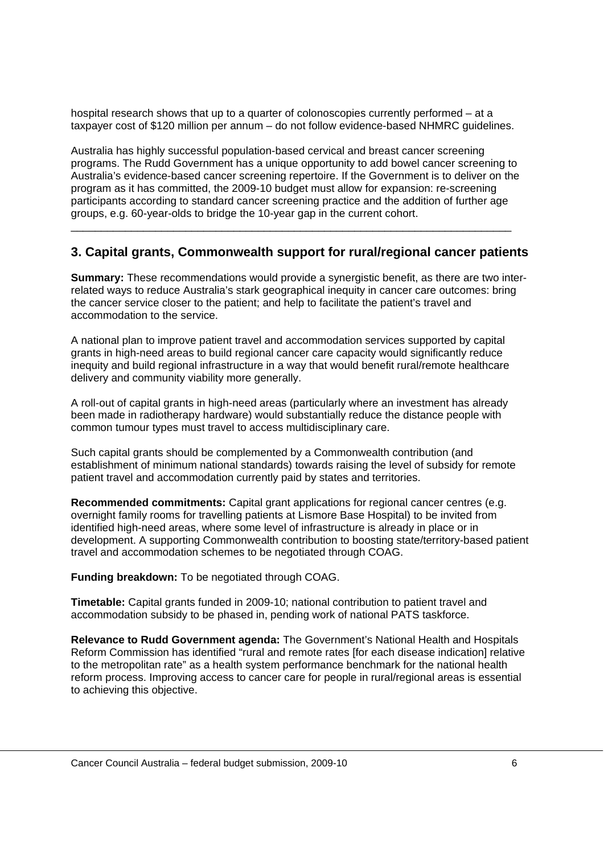hospital research shows that up to a quarter of colonoscopies currently performed – at a taxpayer cost of \$120 million per annum – do not follow evidence-based NHMRC guidelines.

Australia has highly successful population-based cervical and breast cancer screening programs. The Rudd Government has a unique opportunity to add bowel cancer screening to Australia's evidence-based cancer screening repertoire. If the Government is to deliver on the program as it has committed, the 2009-10 budget must allow for expansion: re-screening participants according to standard cancer screening practice and the addition of further age groups, e.g. 60-year-olds to bridge the 10-year gap in the current cohort.

## **3. Capital grants, Commonwealth support for rural/regional cancer patients**

\_\_\_\_\_\_\_\_\_\_\_\_\_\_\_\_\_\_\_\_\_\_\_\_\_\_\_\_\_\_\_\_\_\_\_\_\_\_\_\_\_\_\_\_\_\_\_\_\_\_\_\_\_\_\_\_\_\_\_\_\_\_\_\_\_\_\_\_\_\_\_\_\_

**Summary:** These recommendations would provide a synergistic benefit, as there are two interrelated ways to reduce Australia's stark geographical inequity in cancer care outcomes: bring the cancer service closer to the patient; and help to facilitate the patient's travel and accommodation to the service.

A national plan to improve patient travel and accommodation services supported by capital grants in high-need areas to build regional cancer care capacity would significantly reduce inequity and build regional infrastructure in a way that would benefit rural/remote healthcare delivery and community viability more generally.

A roll-out of capital grants in high-need areas (particularly where an investment has already been made in radiotherapy hardware) would substantially reduce the distance people with common tumour types must travel to access multidisciplinary care.

Such capital grants should be complemented by a Commonwealth contribution (and establishment of minimum national standards) towards raising the level of subsidy for remote patient travel and accommodation currently paid by states and territories.

**Recommended commitments:** Capital grant applications for regional cancer centres (e.g. overnight family rooms for travelling patients at Lismore Base Hospital) to be invited from identified high-need areas, where some level of infrastructure is already in place or in development. A supporting Commonwealth contribution to boosting state/territory-based patient travel and accommodation schemes to be negotiated through COAG.

**Funding breakdown:** To be negotiated through COAG.

**Timetable:** Capital grants funded in 2009-10; national contribution to patient travel and accommodation subsidy to be phased in, pending work of national PATS taskforce.

**Relevance to Rudd Government agenda:** The Government's National Health and Hospitals Reform Commission has identified "rural and remote rates [for each disease indication] relative to the metropolitan rate" as a health system performance benchmark for the national health reform process. Improving access to cancer care for people in rural/regional areas is essential to achieving this objective.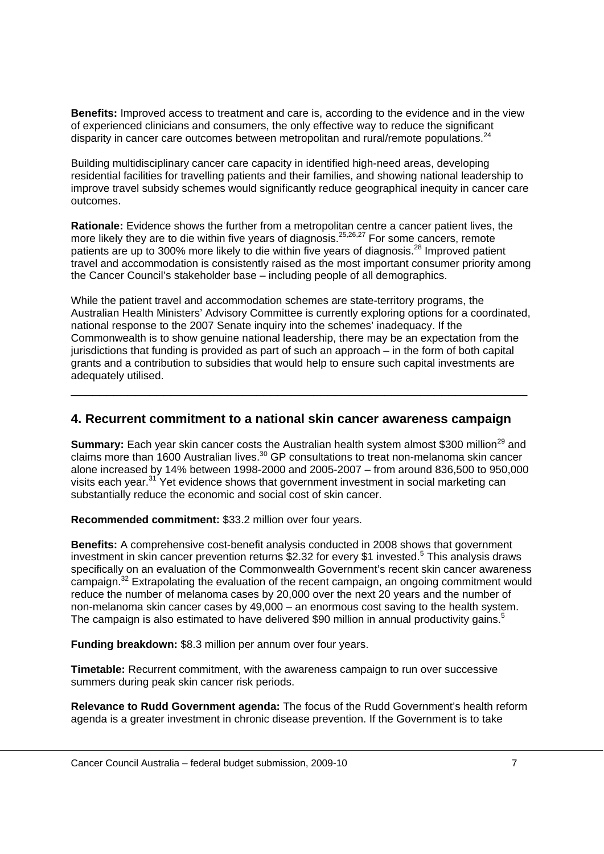**Benefits:** Improved access to treatment and care is, according to the evidence and in the view of experienced clinicians and consumers, the only effective way to reduce the significant disparity in cancer care outcomes between metropolitan and rural/remote populations. $^{24}$ 

Building multidisciplinary cancer care capacity in identified high-need areas, developing residential facilities for travelling patients and their families, and showing national leadership to improve travel subsidy schemes would significantly reduce geographical inequity in cancer care outcomes.

**Rationale:** Evidence shows the further from a metropolitan centre a cancer patient lives, the more likely they are to die within five years of diagnosis.<sup>25,26,27</sup> For some cancers, remote patients are up to 300% more likely to die within five years of diagnosis.<sup>28</sup> Improved patient travel and accommodation is consistently raised as the most important consumer priority among the Cancer Council's stakeholder base – including people of all demographics.

While the patient travel and accommodation schemes are state-territory programs, the Australian Health Ministers' Advisory Committee is currently exploring options for a coordinated, national response to the 2007 Senate inquiry into the schemes' inadequacy. If the Commonwealth is to show genuine national leadership, there may be an expectation from the jurisdictions that funding is provided as part of such an approach – in the form of both capital grants and a contribution to subsidies that would help to ensure such capital investments are adequately utilised.

\_\_\_\_\_\_\_\_\_\_\_\_\_\_\_\_\_\_\_\_\_\_\_\_\_\_\_\_\_\_\_\_\_\_\_\_\_\_\_\_\_\_\_\_\_\_\_\_\_\_\_\_\_\_\_\_\_\_\_\_\_\_\_\_

## **4. Recurrent commitment to a national skin cancer awareness campaign**

**Summary:** Each year skin cancer costs the Australian health system almost \$300 million<sup>29</sup> and claims more than 1600 Australian lives. $30$  GP consultations to treat non-melanoma skin cancer alone increased by 14% between 1998-2000 and 2005-2007 – from around 836,500 to 950,000 visits each year.<sup>31</sup> Yet evidence shows that government investment in social marketing can substantially reduce the economic and social cost of skin cancer.

**Recommended commitment:** \$33.2 million over four years.

**Benefits:** A comprehensive cost-benefit analysis conducted in 2008 shows that government investment in skin cancer prevention returns \$2.32 for every \$1 invested.<sup>5</sup> This analysis draws specifically on an evaluation of the Commonwealth Government's recent skin cancer awareness campaign.<sup>32</sup> Extrapolating the evaluation of the recent campaign, an ongoing commitment would reduce the number of melanoma cases by 20,000 over the next 20 years and the number of non-melanoma skin cancer cases by 49,000 – an enormous cost saving to the health system. The campaign is also estimated to have delivered \$90 million in annual productivity gains.<sup>5</sup>

**Funding breakdown:** \$8.3 million per annum over four years.

**Timetable:** Recurrent commitment, with the awareness campaign to run over successive summers during peak skin cancer risk periods.

**Relevance to Rudd Government agenda:** The focus of the Rudd Government's health reform agenda is a greater investment in chronic disease prevention. If the Government is to take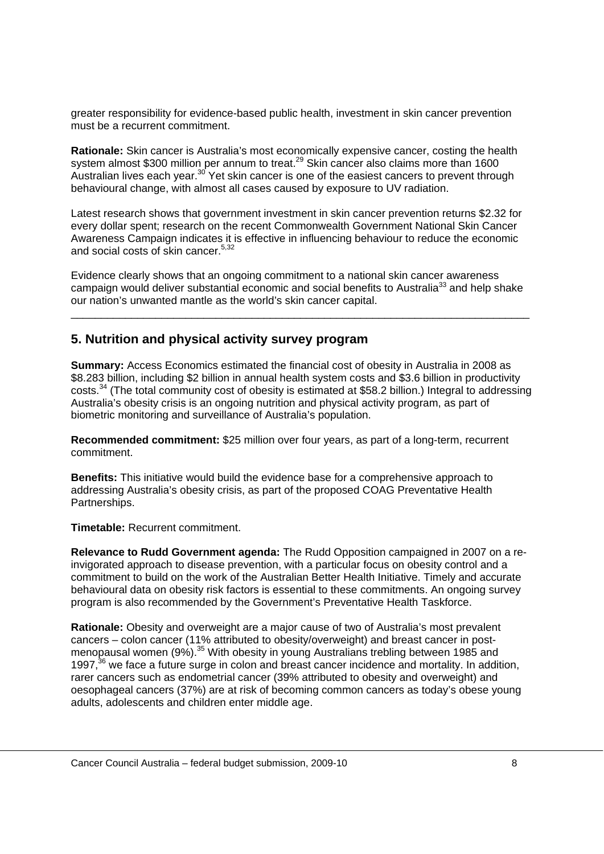greater responsibility for evidence-based public health, investment in skin cancer prevention must be a recurrent commitment.

**Rationale:** Skin cancer is Australia's most economically expensive cancer, costing the health system almost \$300 million per annum to treat.<sup>29</sup> Skin cancer also claims more than 1600 Australian lives each year.<sup>30</sup> Yet skin cancer is one of the easiest cancers to prevent through behavioural change, with almost all cases caused by exposure to UV radiation.

Latest research shows that government investment in skin cancer prevention returns \$2.32 for every dollar spent; research on the recent Commonwealth Government National Skin Cancer Awareness Campaign indicates it is effective in influencing behaviour to reduce the economic and social costs of skin cancer.<sup>5,32</sup>

Evidence clearly shows that an ongoing commitment to a national skin cancer awareness campaign would deliver substantial economic and social benefits to Australia<sup>33</sup> and help shake our nation's unwanted mantle as the world's skin cancer capital.

\_\_\_\_\_\_\_\_\_\_\_\_\_\_\_\_\_\_\_\_\_\_\_\_\_\_\_\_\_\_\_\_\_\_\_\_\_\_\_\_\_\_\_\_\_\_\_\_\_\_\_\_\_\_\_\_\_\_\_\_\_\_\_\_\_\_\_\_\_\_\_\_\_\_\_\_

## **5. Nutrition and physical activity survey program**

**Summary:** Access Economics estimated the financial cost of obesity in Australia in 2008 as \$8.283 billion, including \$2 billion in annual health system costs and \$3.6 billion in productivity costs.34 (The total community cost of obesity is estimated at \$58.2 billion.) Integral to addressing Australia's obesity crisis is an ongoing nutrition and physical activity program, as part of biometric monitoring and surveillance of Australia's population.

**Recommended commitment:** \$25 million over four years, as part of a long-term, recurrent commitment.

**Benefits:** This initiative would build the evidence base for a comprehensive approach to addressing Australia's obesity crisis, as part of the proposed COAG Preventative Health Partnerships.

**Timetable:** Recurrent commitment.

**Relevance to Rudd Government agenda:** The Rudd Opposition campaigned in 2007 on a reinvigorated approach to disease prevention, with a particular focus on obesity control and a commitment to build on the work of the Australian Better Health Initiative. Timely and accurate behavioural data on obesity risk factors is essential to these commitments. An ongoing survey program is also recommended by the Government's Preventative Health Taskforce.

**Rationale:** Obesity and overweight are a major cause of two of Australia's most prevalent cancers – colon cancer (11% attributed to obesity/overweight) and breast cancer in postmenopausal women (9%).<sup>35</sup> With obesity in young Australians trebling between 1985 and 1997, $36$  we face a future surge in colon and breast cancer incidence and mortality. In addition, rarer cancers such as endometrial cancer (39% attributed to obesity and overweight) and oesophageal cancers (37%) are at risk of becoming common cancers as today's obese young adults, adolescents and children enter middle age.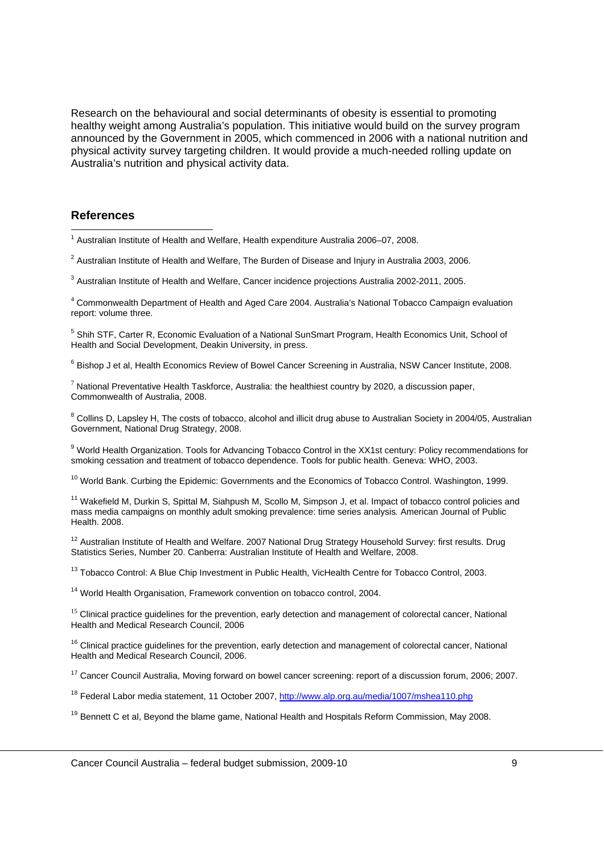Research on the behavioural and social determinants of obesity is essential to promoting healthy weight among Australia's population. This initiative would build on the survey program announced by the Government in 2005, which commenced in 2006 with a national nutrition and physical activity survey targeting children. It would provide a much-needed rolling update on Australia's nutrition and physical activity data.

#### **References**

<sup>5</sup> Shih STF, Carter R, Economic Evaluation of a National SunSmart Program, Health Economics Unit, School of Health and Social Development, Deakin University, in press.

<sup>6</sup> Bishop J et al, Health Economics Review of Bowel Cancer Screening in Australia, NSW Cancer Institute, 2008.

 $7$  National Preventative Health Taskforce, Australia: the healthiest country by 2020, a discussion paper, Commonwealth of Australia, 2008.

<sup>8</sup> Collins D, Lapsley H, The costs of tobacco, alcohol and illicit drug abuse to Australian Society in 2004/05, Australian Government, National Drug Strategy, 2008.

<sup>9</sup> World Health Organization. Tools for Advancing Tobacco Control in the XX1st century: Policy recommendations for smoking cessation and treatment of tobacco dependence. Tools for public health. Geneva: WHO, 2003.

<sup>10</sup> World Bank. Curbing the Epidemic: Governments and the Economics of Tobacco Control. Washington, 1999.

<sup>11</sup> Wakefield M, Durkin S, Spittal M, Siahpush M, Scollo M, Simpson J, et al. Impact of tobacco control policies and mass media campaigns on monthly adult smoking prevalence: time series analysis*.* American Journal of Public Health. 2008.

<sup>12</sup> Australian Institute of Health and Welfare. 2007 National Drug Strategy Household Survey: first results. Drug Statistics Series, Number 20. Canberra: Australian Institute of Health and Welfare, 2008.

<sup>13</sup> Tobacco Control: A Blue Chip Investment in Public Health, VicHealth Centre for Tobacco Control, 2003.

<sup>14</sup> World Health Organisation, Framework convention on tobacco control, 2004.

<sup>15</sup> Clinical practice guidelines for the prevention, early detection and management of colorectal cancer, National Health and Medical Research Council, 2006

<sup>16</sup> Clinical practice guidelines for the prevention, early detection and management of colorectal cancer, National Health and Medical Research Council, 2006.

<sup>17</sup> Cancer Council Australia, Moving forward on bowel cancer screening: report of a discussion forum, 2006; 2007.

<sup>18</sup> Federal Labor media statement, 11 October 2007, http://www.alp.org.au/media/1007/mshea110.php

<sup>19</sup> Bennett C et al, Beyond the blame game, National Health and Hospitals Reform Commission, May 2008.

 1 Australian Institute of Health and Welfare, Health expenditure Australia 2006–07, 2008.

<sup>&</sup>lt;sup>2</sup> Australian Institute of Health and Welfare, The Burden of Disease and Injury in Australia 2003, 2006.

 $3$  Australian Institute of Health and Welfare, Cancer incidence projections Australia 2002-2011, 2005.

<sup>4</sup> Commonwealth Department of Health and Aged Care 2004. Australia's National Tobacco Campaign evaluation report: volume three.